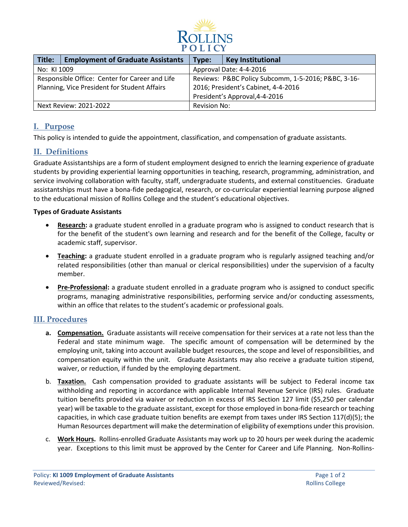

| Title:                                         | <b>Employment of Graduate Assistants</b> | Type:                                               | <b>Key Institutional</b> |
|------------------------------------------------|------------------------------------------|-----------------------------------------------------|--------------------------|
| No: KI 1009                                    |                                          | Approval Date: 4-4-2016                             |                          |
| Responsible Office: Center for Career and Life |                                          | Reviews: P&BC Policy Subcomm, 1-5-2016; P&BC, 3-16- |                          |
| Planning, Vice President for Student Affairs   |                                          | 2016; President's Cabinet, 4-4-2016                 |                          |
|                                                |                                          | President's Approval, 4-4-2016                      |                          |
| Next Review: 2021-2022                         |                                          | Revision No:                                        |                          |

## **I. Purpose**

This policy is intended to guide the appointment, classification, and compensation of graduate assistants.

# **II. Definitions**

Graduate Assistantships are a form of student employment designed to enrich the learning experience of graduate students by providing experiential learning opportunities in teaching, research, programming, administration, and service involving collaboration with faculty, staff, undergraduate students, and external constituencies. Graduate assistantships must have a bona-fide pedagogical, research, or co-curricular experiential learning purpose aligned to the educational mission of Rollins College and the student's educational objectives.

#### **Types of Graduate Assistants**

- **Research:** a graduate student enrolled in a graduate program who is assigned to conduct research that is for the benefit of the student's own learning and research and for the benefit of the College, faculty or academic staff, supervisor.
- **Teaching:** a graduate student enrolled in a graduate program who is regularly assigned teaching and/or related responsibilities (other than manual or clerical responsibilities) under the supervision of a faculty member.
- **Pre-Professional:** a graduate student enrolled in a graduate program who is assigned to conduct specific programs, managing administrative responsibilities, performing service and/or conducting assessments, within an office that relates to the student's academic or professional goals.

## **III. Procedures**

- **a. Compensation.** Graduate assistants will receive compensation for their services at a rate not less than the Federal and state minimum wage. The specific amount of compensation will be determined by the employing unit, taking into account available budget resources, the scope and level of responsibilities, and compensation equity within the unit. Graduate Assistants may also receive a graduate tuition stipend, waiver, or reduction, if funded by the employing department.
- b. **Taxation.** Cash compensation provided to graduate assistants will be subject to Federal income tax withholding and reporting in accordance with applicable Internal Revenue Service (IRS) rules. Graduate tuition benefits provided via waiver or reduction in excess of IRS Section 127 limit (\$5,250 per calendar year) will be taxable to the graduate assistant, except for those employed in bona-fide research or teaching capacities, in which case graduate tuition benefits are exempt from taxes under IRS Section 117(d)(5); the Human Resources department will make the determination of eligibility of exemptions under this provision.
- c. **Work Hours.** Rollins-enrolled Graduate Assistants may work up to 20 hours per week during the academic year. Exceptions to this limit must be approved by the Center for Career and Life Planning. Non-Rollins-